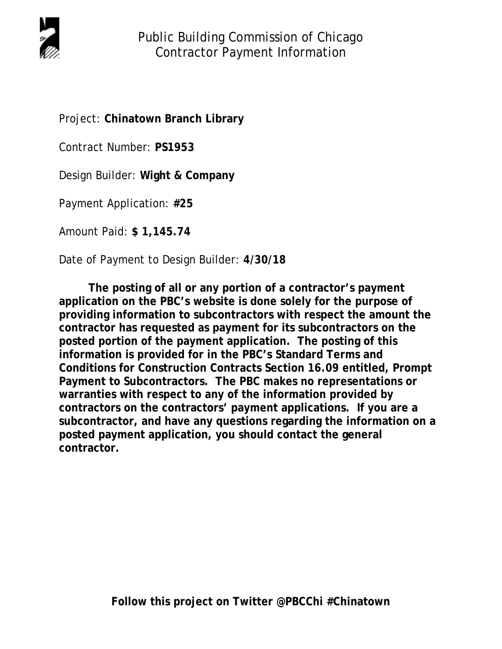

Project: **Chinatown Branch Library** 

Contract Number: **PS1953**

Design Builder: **Wight & Company** 

Payment Application: **#25**

Amount Paid: **\$ 1,145.74**

Date of Payment to Design Builder: **4/30/18** 

 **The posting of all or any portion of a contractor's payment application on the PBC's website is done solely for the purpose of providing information to subcontractors with respect the amount the contractor has requested as payment for its subcontractors on the posted portion of the payment application. The posting of this information is provided for in the PBC's Standard Terms and Conditions for Construction Contracts Section 16.09 entitled, Prompt Payment to Subcontractors. The PBC makes no representations or warranties with respect to any of the information provided by contractors on the contractors' payment applications. If you are a subcontractor, and have any questions regarding the information on a posted payment application, you should contact the general contractor.**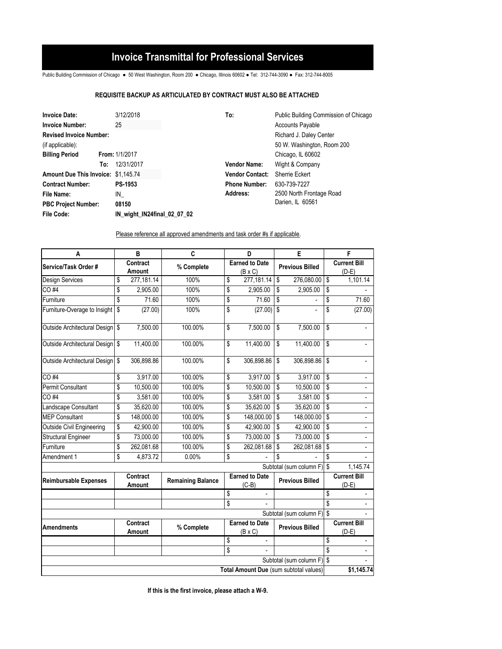## **Invoice Transmittal for Professional Services**

Public Building Commission of Chicago ● 50 West Washington, Room 200 ● Chicago, Illinois 60602 ● Tel: 312-744-3090 ● Fax: 312-744-8005

## **REQUISITE BACKUP AS ARTICULATED BY CONTRACT MUST ALSO BE ATTACHED**

| <b>Invoice Date:</b>                |     | 3/12/2018                   | To:                    | Public Building Commission of Chicago |  |  |  |
|-------------------------------------|-----|-----------------------------|------------------------|---------------------------------------|--|--|--|
| 25<br><b>Invoice Number:</b>        |     |                             |                        | <b>Accounts Payable</b>               |  |  |  |
| <b>Revised Invoice Number:</b>      |     |                             |                        | Richard J. Daley Center               |  |  |  |
| (if applicable):                    |     |                             |                        | 50 W. Washington, Room 200            |  |  |  |
| <b>Billing Period</b>               |     | From: 1/1/2017              |                        | Chicago, IL 60602                     |  |  |  |
|                                     | To: | 12/31/2017                  | <b>Vendor Name:</b>    | Wight & Company                       |  |  |  |
| Amount Due This Invoice: \$1,145.74 |     |                             | <b>Vendor Contact:</b> | Sherrie Eckert                        |  |  |  |
| <b>Contract Number:</b>             |     | <b>PS-1953</b>              | <b>Phone Number:</b>   | 630-739-7227                          |  |  |  |
| File Name:                          |     | IN                          | Address:               | 2500 North Frontage Road              |  |  |  |
| <b>PBC Project Number:</b>          |     | 08150                       |                        | Darien, IL 60561                      |  |  |  |
| <b>File Code:</b>                   |     | IN wight IN24final 02 07 02 |                        |                                       |  |  |  |

Please reference all approved amendments and task order #s if applicable.

| A                                      |          | B                  | C                        |                                         | D                                       |                        | E                          |                                | F                              |
|----------------------------------------|----------|--------------------|--------------------------|-----------------------------------------|-----------------------------------------|------------------------|----------------------------|--------------------------------|--------------------------------|
| Service/Task Order #                   |          | Contract<br>Amount | % Complete               | <b>Earned to Date</b><br>$(B \times C)$ |                                         | <b>Previous Billed</b> |                            | <b>Current Bill</b><br>$(D-E)$ |                                |
| Design Services                        | \$       | 277,181.14         | 100%                     | \$                                      | 277,181.14                              | \$                     | 276,080.00                 | \$                             | 1,101.14                       |
| CO #4                                  | \$       | 2,905.00           | 100%                     | \$                                      | 2,905.00                                | \$                     | 2,905.00                   | \$                             |                                |
| Furniture                              | \$       | 71.60              | 100%                     | \$                                      | 71.60                                   | \$                     |                            | \$                             | 71.60                          |
| Furniture-Overage to Insight           | \$       | (27.00)            | 100%                     | \$                                      | (27.00)                                 | \$                     |                            | \$                             | (27.00)                        |
| Outside Architectural Design           | <b>S</b> | 7,500.00           | 100.00%                  | \$                                      | 7,500.00                                | \$                     | 7,500.00                   | \$                             |                                |
| Outside Architectural Design \$        |          | 11,400.00          | 100.00%                  | \$                                      | 11,400.00                               | \$                     | 11,400.00                  | \$                             |                                |
| Outside Architectural Design \$        |          | 306,898.86         | 100.00%                  | \$                                      | 306,898.86                              | \$                     | 306,898.86                 | \$                             |                                |
| CO #4                                  | \$       | 3,917.00           | 100.00%                  | \$                                      | 3,917.00                                | \$                     | 3,917.00                   | \$                             | $\overline{\phantom{a}}$       |
| <b>Permit Consultant</b>               | \$       | 10,500.00          | 100.00%                  | \$                                      | 10,500.00                               | \$                     | 10,500.00                  | \$                             |                                |
| CO #4                                  | \$       | 3,581.00           | 100.00%                  | \$                                      | 3,581.00                                | \$                     | 3,581.00                   | \$                             | L,                             |
| Landscape Consultant                   | \$       | 35,620.00          | 100.00%                  | \$                                      | 35,620.00                               | \$                     | 35,620.00                  | \$                             |                                |
| <b>MEP Consultant</b>                  | \$       | 148,000.00         | 100.00%                  | \$                                      | 148,000.00                              | \$                     | 148,000.00                 | \$                             |                                |
| <b>Outside Civil Engineering</b>       | \$       | 42,900.00          | 100.00%                  | \$                                      | 42,900.00                               | \$                     | 42.900.00                  | \$                             |                                |
| <b>Structural Engineer</b>             | \$       | 73,000.00          | 100.00%                  | \$                                      | 73,000.00                               | \$                     | 73,000.00                  | \$                             |                                |
| Furniture                              | \$       | 262,081.68         | 100.00%                  | \$                                      | 262,081.68                              | \$                     | 262,081.68                 | \$                             |                                |
| Amendment 1                            | \$       | 4,873.72           | 0.00%                    | \$                                      |                                         | \$                     |                            | \$                             |                                |
|                                        |          |                    |                          |                                         |                                         |                        | Subtotal (sum column F) \$ |                                | 1.145.74                       |
| <b>Reimbursable Expenses</b>           |          | Contract<br>Amount | <b>Remaining Balance</b> |                                         | <b>Earned to Date</b><br>$(C-B)$        |                        | <b>Previous Billed</b>     |                                | <b>Current Bill</b><br>$(D-E)$ |
|                                        |          |                    |                          | \$                                      | $\overline{\phantom{a}}$                |                        |                            | \$                             | $\frac{1}{2}$                  |
|                                        |          |                    |                          | \$                                      |                                         |                        |                            | \$                             | ÷.                             |
|                                        |          |                    |                          |                                         |                                         |                        | Subtotal (sum column F) \$ |                                |                                |
| <b>Amendments</b>                      |          | Contract<br>Amount | % Complete               |                                         | <b>Earned to Date</b><br>$(B \times C)$ |                        | <b>Previous Billed</b>     |                                | <b>Current Bill</b><br>$(D-E)$ |
|                                        |          |                    |                          | \$                                      |                                         |                        |                            | \$                             |                                |
|                                        |          |                    |                          | \$                                      |                                         |                        |                            | \$                             | $\overline{a}$                 |
|                                        |          |                    |                          |                                         |                                         |                        | Subtotal (sum column F) \$ |                                |                                |
| Total Amount Due (sum subtotal values) |          |                    |                          |                                         |                                         |                        | \$1,145.74                 |                                |                                |

**If this is the first invoice, please attach a W-9.**